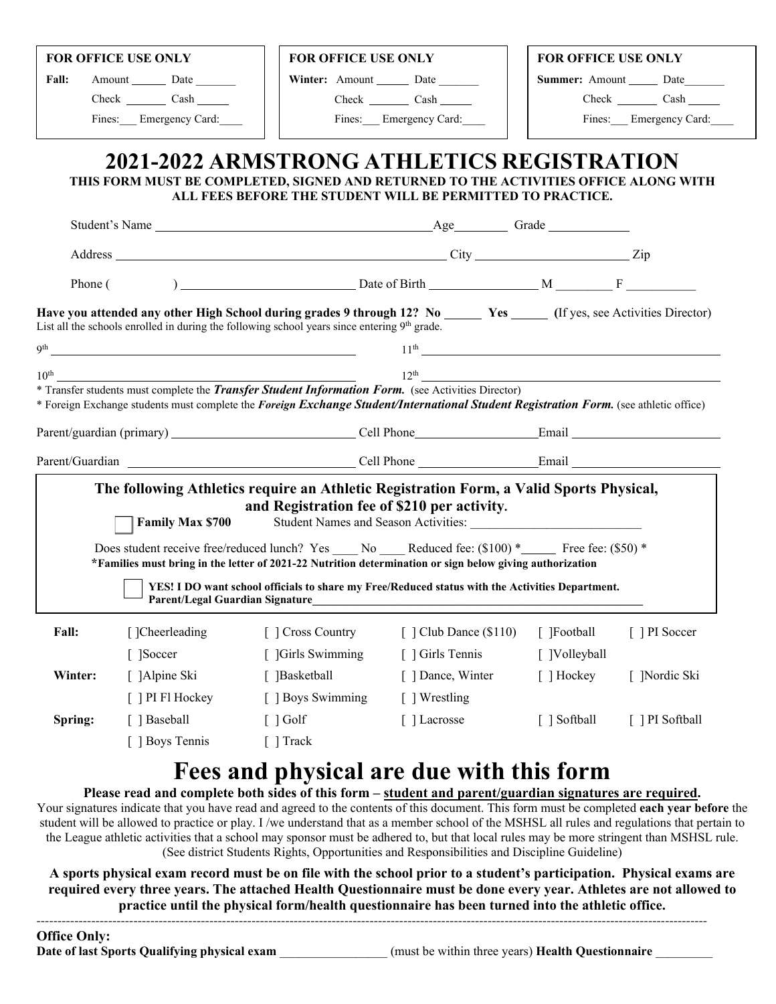|               | FOR OFFICE USE ONLY                                                                                                    | FOR OFFICE USE ONLY                                                                                                                                                                                                                                |                                                                               | <b>FOR OFFICE USE ONLY</b> |                        |  |
|---------------|------------------------------------------------------------------------------------------------------------------------|----------------------------------------------------------------------------------------------------------------------------------------------------------------------------------------------------------------------------------------------------|-------------------------------------------------------------------------------|----------------------------|------------------------|--|
| Fall:         | Amount Date                                                                                                            | Winter: Amount Date                                                                                                                                                                                                                                |                                                                               | <b>Summer:</b> Amount Date |                        |  |
|               | Check Cash                                                                                                             |                                                                                                                                                                                                                                                    | Check Cash                                                                    |                            | Check Cash             |  |
|               | Fines: Emergency Card:                                                                                                 |                                                                                                                                                                                                                                                    | Fines: Emergency Card:                                                        |                            | Fines: Emergency Card: |  |
|               |                                                                                                                        | 2021-2022 ARMSTRONG ATHLETICS REGISTRATION<br>THIS FORM MUST BE COMPLETED, SIGNED AND RETURNED TO THE ACTIVITIES OFFICE ALONG WITH<br>ALL FEES BEFORE THE STUDENT WILL BE PERMITTED TO PRACTICE.                                                   |                                                                               |                            |                        |  |
|               |                                                                                                                        |                                                                                                                                                                                                                                                    |                                                                               |                            |                        |  |
|               |                                                                                                                        |                                                                                                                                                                                                                                                    |                                                                               |                            |                        |  |
|               |                                                                                                                        |                                                                                                                                                                                                                                                    |                                                                               |                            |                        |  |
|               |                                                                                                                        | Have you attended any other High School during grades 9 through 12? No _____ Yes ____ (If yes, see Activities Director)<br>List all the schools enrolled in during the following school years since entering 9 <sup>th</sup> grade.                |                                                                               |                            |                        |  |
| Qth           | <u> 1989 - Johann Stoff, deutscher Stoffen und der Stoffen und der Stoffen und der Stoffen und der Stoffen und der</u> |                                                                                                                                                                                                                                                    | $11^{\text{th}}$                                                              |                            |                        |  |
| $10^{\rm th}$ |                                                                                                                        |                                                                                                                                                                                                                                                    | $12^{\text{th}}$<br><u> 1980 - Johann Barnett, fransk politiker (d. 1980)</u> |                            |                        |  |
|               |                                                                                                                        | * Transfer students must complete the <i>Transfer Student Information Form.</i> (see Activities Director)<br>* Foreign Exchange students must complete the Foreign Exchange Student/International Student Registration Form. (see athletic office) |                                                                               |                            |                        |  |
|               |                                                                                                                        |                                                                                                                                                                                                                                                    |                                                                               |                            |                        |  |
|               |                                                                                                                        |                                                                                                                                                                                                                                                    |                                                                               |                            |                        |  |
|               | <b>Family Max \$700</b>                                                                                                | The following Athletics require an Athletic Registration Form, a Valid Sports Physical,<br>and Registration fee of \$210 per activity.<br>Does student receive free/reduced lunch? Yes No Reduced fee: $(\$100)*$ Free fee: $(\$50)*$              | Student Names and Season Activities: Names and Season Activities:             |                            |                        |  |
|               |                                                                                                                        | *Families must bring in the letter of 2021-22 Nutrition determination or sign below giving authorization                                                                                                                                           |                                                                               |                            |                        |  |
|               | Parent/Legal Guardian Signature                                                                                        | YES! I DO want school officials to share my Free/Reduced status with the Activities Department.                                                                                                                                                    |                                                                               |                            |                        |  |
|               | []Cheerleading                                                                                                         | [ ] Cross Country                                                                                                                                                                                                                                  | $\lceil$ $\lceil$ Club Dance (\$110)                                          | [ ]Football                | [ ] PI Soccer          |  |
| Fall:         |                                                                                                                        | [ ]Girls Swimming                                                                                                                                                                                                                                  | [ ] Girls Tennis                                                              | [ ]Volleyball              |                        |  |
|               | [ ]Soccer                                                                                                              |                                                                                                                                                                                                                                                    |                                                                               |                            | [ ]Nordic Ski          |  |
|               | [ ]Alpine Ski                                                                                                          | [ ]Basketball                                                                                                                                                                                                                                      | [ ] Dance, Winter                                                             | [ ] Hockey                 |                        |  |
| Winter:       | [ ] PI Fl Hockey                                                                                                       | [ ] Boys Swimming                                                                                                                                                                                                                                  | [ ] Wrestling                                                                 |                            |                        |  |
| Spring:       | [ ] Baseball                                                                                                           | $[ ]$ Golf                                                                                                                                                                                                                                         | [ ] Lacrosse                                                                  | [ ] Softball               | [ ] PI Softball        |  |
|               | [ ] Boys Tennis                                                                                                        | [ ] Track                                                                                                                                                                                                                                          |                                                                               |                            |                        |  |

### **Please read and complete both sides of this form – student and parent/guardian signatures are required.**

Your signatures indicate that you have read and agreed to the contents of this document. This form must be completed **each year before** the student will be allowed to practice or play. I /we understand that as a member school of the MSHSL all rules and regulations that pertain to the League athletic activities that a school may sponsor must be adhered to, but that local rules may be more stringent than MSHSL rule. (See district Students Rights, Opportunities and Responsibilities and Discipline Guideline)

**A sports physical exam record must be on file with the school prior to a student's participation. Physical exams are required every three years. The attached Health Questionnaire must be done every year. Athletes are not allowed to practice until the physical form/health questionnaire has been turned into the athletic office.** *---------------------------------------------------------------------------------------------------------------------------------------------------------------*

**Office Only:**

**Date of last Sports Qualifying physical exam** \_\_\_\_\_\_\_\_\_\_\_\_\_\_\_\_\_ (must be within three years) **Health Questionnaire** \_\_\_\_\_\_\_\_\_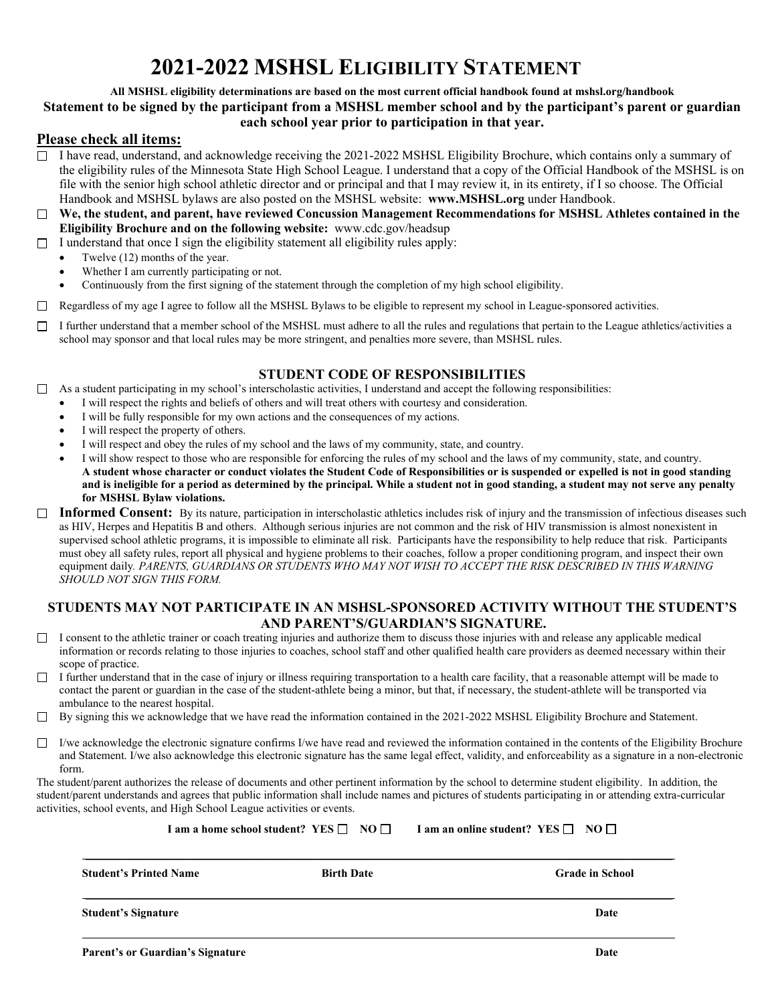# **2021-2022 MSHSL ELIGIBILITY STATEMENT**

### **All MSHSL eligibility determinations are based on the most current official handbook found at mshsl.org/handbook Statement to be signed by the participant from a MSHSL member school and by the participant's parent or guardian each school year prior to participation in that year.**

### **Please check all items:**

- $\Box$  I have read, understand, and acknowledge receiving the 2021-2022 MSHSL Eligibility Brochure, which contains only a summary of the eligibility rules of the Minnesota State High School League. I understand that a copy of the Official Handbook of the MSHSL is on file with the senior high school athletic director and or principal and that I may review it, in its entirety, if I so choose. The Official Handbook and MSHSL bylaws are also posted on the MSHSL website: **www.MSHSL.org** under Handbook.
- **We, the student, and parent, have reviewed Concussion Management Recommendations for MSHSL Athletes contained in the**  П **Eligibility Brochure and on the following website:** www.cdc.gov/headsup
- $\Box$  I understand that once I sign the eligibility statement all eligibility rules apply:
	- Twelve (12) months of the year.
	- Whether I am currently participating or not.
	- Continuously from the first signing of the statement through the completion of my high school eligibility.
- Regardless of my age I agree to follow all the MSHSL Bylaws to be eligible to represent my school in League-sponsored activities.
- I further understand that a member school of the MSHSL must adhere to all the rules and regulations that pertain to the League athletics/activities a school may sponsor and that local rules may be more stringent, and penalties more severe, than MSHSL rules.

### **STUDENT CODE OF RESPONSIBILITIES**

 $\Box$  As a student participating in my school's interscholastic activities, I understand and accept the following responsibilities:

- I will respect the rights and beliefs of others and will treat others with courtesy and consideration.
- I will be fully responsible for my own actions and the consequences of my actions.
- I will respect the property of others.
- I will respect and obey the rules of my school and the laws of my community, state, and country.
- I will show respect to those who are responsible for enforcing the rules of my school and the laws of my community, state, and country. **A student whose character or conduct violates the Student Code of Responsibilities or is suspended or expelled is not in good standing and is ineligible for a period as determined by the principal. While a student not in good standing, a student may not serve any penalty for MSHSL Bylaw violations.**
- □ Informed Consent: By its nature, participation in interscholastic athletics includes risk of injury and the transmission of infectious diseases such as HIV, Herpes and Hepatitis B and others. Although serious injuries are not common and the risk of HIV transmission is almost nonexistent in supervised school athletic programs, it is impossible to eliminate all risk. Participants have the responsibility to help reduce that risk. Participants must obey all safety rules, report all physical and hygiene problems to their coaches, follow a proper conditioning program, and inspect their own equipment daily*. PARENTS, GUARDIANS OR STUDENTS WHO MAY NOT WISH TO ACCEPT THE RISK DESCRIBED IN THIS WARNING SHOULD NOT SIGN THIS FORM.*

### **STUDENTS MAY NOT PARTICIPATE IN AN MSHSL-SPONSORED ACTIVITY WITHOUT THE STUDENT'S AND PARENT'S/GUARDIAN'S SIGNATURE.**

- $\Box$  I consent to the athletic trainer or coach treating injuries and authorize them to discuss those injuries with and release any applicable medical information or records relating to those injuries to coaches, school staff and other qualified health care providers as deemed necessary within their scope of practice.
- I further understand that in the case of injury or illness requiring transportation to a health care facility, that a reasonable attempt will be made to contact the parent or guardian in the case of the student-athlete being a minor, but that, if necessary, the student-athlete will be transported via ambulance to the nearest hospital.
- By signing this we acknowledge that we have read the information contained in the 2021-2022 MSHSL Eligibility Brochure and Statement.
- $\Box$  I/we acknowledge the electronic signature confirms I/we have read and reviewed the information contained in the contents of the Eligibility Brochure and Statement. I/we also acknowledge this electronic signature has the same legal effect, validity, and enforceability as a signature in a non-electronic form.

The student/parent authorizes the release of documents and other pertinent information by the school to determine student eligibility. In addition, the student/parent understands and agrees that public information shall include names and pictures of students participating in or attending extra-curricular activities, school events, and High School League activities or events.

| I am a home school student? YES $\Box$ NO $\Box$ | I am an online student? YES $\Box$ NO $\Box$ |                        |
|--------------------------------------------------|----------------------------------------------|------------------------|
| <b>Student's Printed Name</b>                    | <b>Birth Date</b>                            | <b>Grade in School</b> |
| <b>Student's Signature</b>                       |                                              | Date                   |
| <b>Parent's or Guardian's Signature</b>          |                                              | Date                   |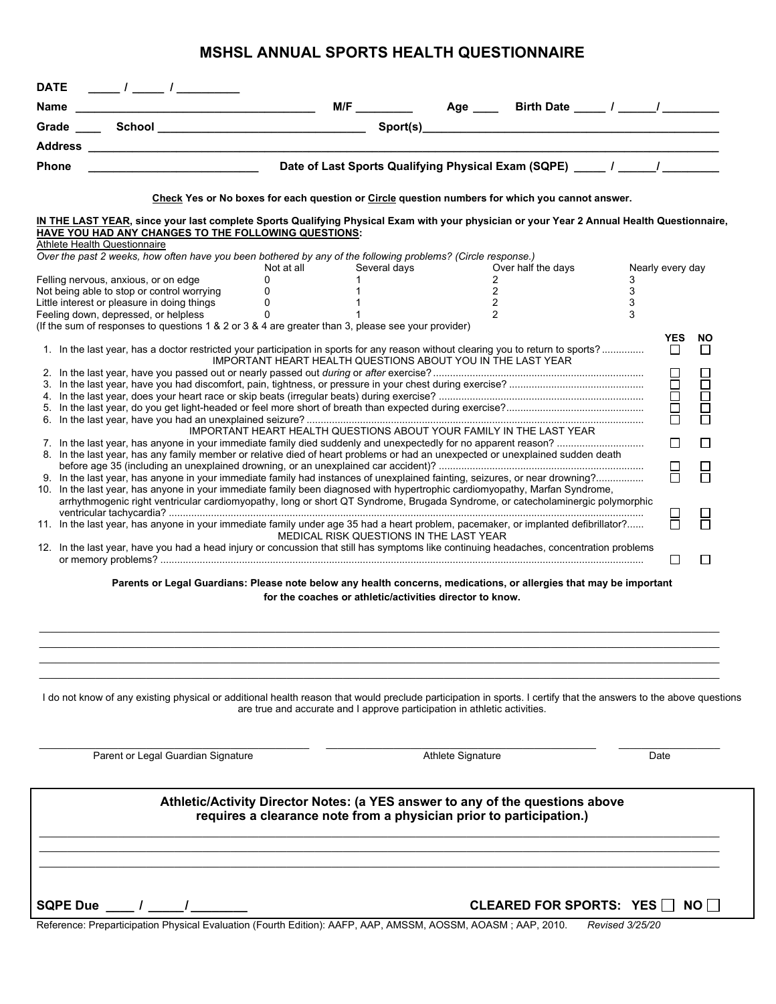# **MSHSL ANNUAL SPORTS HEALTH QUESTIONNAIRE**

| Name                                                                                                                                                                                                                                                                                                                                                                                                                                                                                                                                                                                                                                                                                                                                                                                                                                                                                                                                                    |                                                                                                                                                                                           |                                         |                                                                                                 |                                                                        |                                                          |
|---------------------------------------------------------------------------------------------------------------------------------------------------------------------------------------------------------------------------------------------------------------------------------------------------------------------------------------------------------------------------------------------------------------------------------------------------------------------------------------------------------------------------------------------------------------------------------------------------------------------------------------------------------------------------------------------------------------------------------------------------------------------------------------------------------------------------------------------------------------------------------------------------------------------------------------------------------|-------------------------------------------------------------------------------------------------------------------------------------------------------------------------------------------|-----------------------------------------|-------------------------------------------------------------------------------------------------|------------------------------------------------------------------------|----------------------------------------------------------|
|                                                                                                                                                                                                                                                                                                                                                                                                                                                                                                                                                                                                                                                                                                                                                                                                                                                                                                                                                         |                                                                                                                                                                                           |                                         |                                                                                                 |                                                                        |                                                          |
|                                                                                                                                                                                                                                                                                                                                                                                                                                                                                                                                                                                                                                                                                                                                                                                                                                                                                                                                                         |                                                                                                                                                                                           |                                         |                                                                                                 |                                                                        |                                                          |
|                                                                                                                                                                                                                                                                                                                                                                                                                                                                                                                                                                                                                                                                                                                                                                                                                                                                                                                                                         |                                                                                                                                                                                           |                                         |                                                                                                 |                                                                        |                                                          |
| <b>Phone</b>                                                                                                                                                                                                                                                                                                                                                                                                                                                                                                                                                                                                                                                                                                                                                                                                                                                                                                                                            |                                                                                                                                                                                           |                                         |                                                                                                 |                                                                        |                                                          |
| IN THE LAST YEAR, since your last complete Sports Qualifying Physical Exam with your physician or your Year 2 Annual Health Questionnaire,<br><b>HAVE YOU HAD ANY CHANGES TO THE FOLLOWING QUESTIONS:</b><br>Athlete Health Questionnaire                                                                                                                                                                                                                                                                                                                                                                                                                                                                                                                                                                                                                                                                                                               |                                                                                                                                                                                           |                                         | Check Yes or No boxes for each question or Circle question numbers for which you cannot answer. |                                                                        |                                                          |
| Over the past 2 weeks, how often have you been bothered by any of the following problems? (Circle response.)                                                                                                                                                                                                                                                                                                                                                                                                                                                                                                                                                                                                                                                                                                                                                                                                                                            | Not at all <b>contained</b>                                                                                                                                                               | Several days                            | Over half the days                                                                              | Nearly every day                                                       |                                                          |
| Felling nervous, anxious, or on edge<br>Not being able to stop or control worrying<br>Little interest or pleasure in doing things<br>Feeling down, depressed, or helpless<br>(If the sum of responses to questions 1 & 2 or 3 & 4 are greater than 3, please see your provider)<br>1. In the last year, has a doctor restricted your participation in sports for any reason without clearing you to return to sports?<br>8. In the last year, has any family member or relative died of heart problems or had an unexpected or unexplained sudden death<br>9. In the last year, has anyone in your immediate family had instances of unexplained fainting, seizures, or near drowning?<br>10. In the last year, has anyone in your immediate family been diagnosed with hypertrophic cardiomyopathy, Marfan Syndrome,<br>arrhythmogenic right ventricular cardiomyopathy, long or short QT Syndrome, Brugada Syndrome, or catecholaminergic polymorphic | $\Omega$<br>1<br>0<br>$\mathbf{1}$<br>0<br>$\Omega$<br>IMPORTANT HEART HEALTH QUESTIONS ABOUT YOU IN THE LAST YEAR<br>IMPORTANT HEART HEALTH QUESTIONS ABOUT YOUR FAMILY IN THE LAST YEAR |                                         | $\mathbf{2}^{\circ}$<br>$\overline{2}$<br>2<br>$\mathcal{P}$                                    | 3<br>3<br>3<br>3<br><b>YES</b><br>$\Box$<br>1000<br>100<br>$\Box$<br>吕 | <b>NO</b><br>$\Box$<br>88<br>90<br>$\Box$<br>П<br>F<br>Н |
| 11. In the last year, has anyone in your immediate family under age 35 had a heart problem, pacemaker, or implanted defibrillator?<br>12. In the last year, have you had a head injury or concussion that still has symptoms like continuing headaches, concentration problems                                                                                                                                                                                                                                                                                                                                                                                                                                                                                                                                                                                                                                                                          |                                                                                                                                                                                           | MEDICAL RISK QUESTIONS IN THE LAST YEAR |                                                                                                 | $\Box$                                                                 | П                                                        |
| Parents or Legal Guardians: Please note below any health concerns, medications, or allergies that may be important                                                                                                                                                                                                                                                                                                                                                                                                                                                                                                                                                                                                                                                                                                                                                                                                                                      | for the coaches or athletic/activities director to know.                                                                                                                                  |                                         |                                                                                                 |                                                                        |                                                          |
| I do not know of any existing physical or additional health reason that would preclude participation in sports. I certify that the answers to the above questions                                                                                                                                                                                                                                                                                                                                                                                                                                                                                                                                                                                                                                                                                                                                                                                       | are true and accurate and I approve participation in athletic activities.                                                                                                                 |                                         |                                                                                                 |                                                                        |                                                          |
| Parent or Legal Guardian Signature                                                                                                                                                                                                                                                                                                                                                                                                                                                                                                                                                                                                                                                                                                                                                                                                                                                                                                                      |                                                                                                                                                                                           | <b>Athlete Signature</b>                |                                                                                                 | Date                                                                   |                                                          |
|                                                                                                                                                                                                                                                                                                                                                                                                                                                                                                                                                                                                                                                                                                                                                                                                                                                                                                                                                         | requires a clearance note from a physician prior to participation.)                                                                                                                       |                                         | Athletic/Activity Director Notes: (a YES answer to any of the questions above                   |                                                                        |                                                          |
| <b>SQPE Due</b><br>Reference: Preparticipation Physical Evaluation (Fourth Edition): AAFP, AAP, AMSSM, AOSSM, AOASM; AAP, 2010.                                                                                                                                                                                                                                                                                                                                                                                                                                                                                                                                                                                                                                                                                                                                                                                                                         |                                                                                                                                                                                           |                                         | <b>CLEARED FOR SPORTS: YES</b>                                                                  | Revised 3/25/20                                                        | NO I                                                     |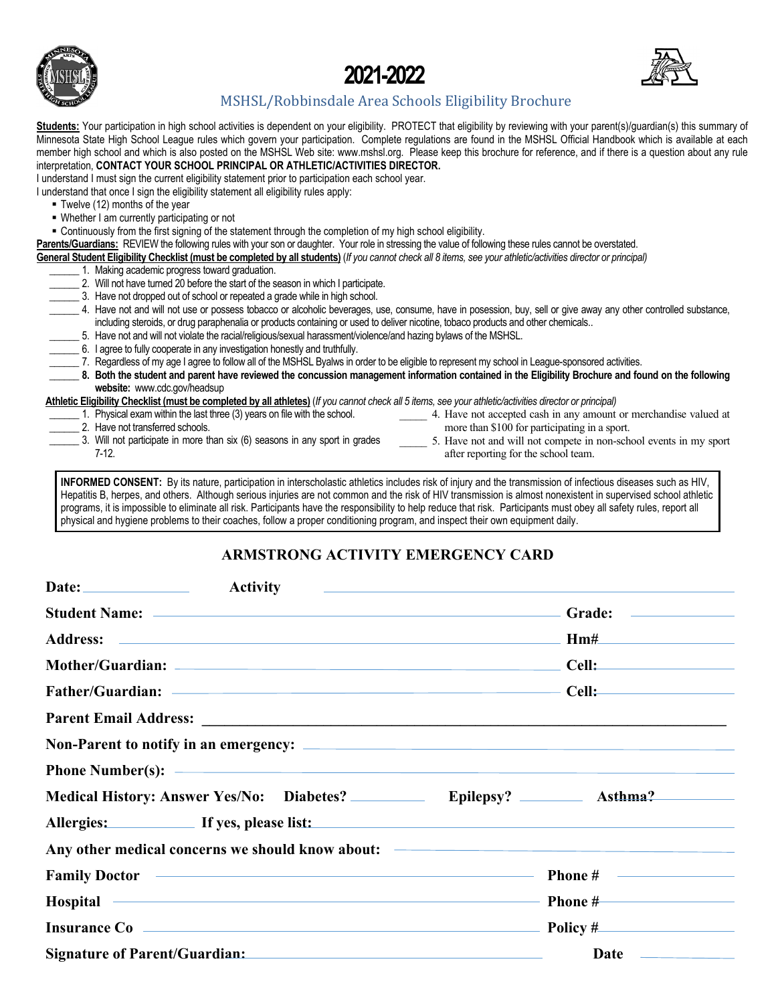





# MSHSL/Robbinsdale Area Schools Eligibility Brochure

Students: Your participation in high school activities is dependent on your eligibility. PROTECT that eligibility by reviewing with your parent(s)/guardian(s) this summary of Minnesota State High School League rules which govern your participation. Complete regulations are found in the MSHSL Official Handbook which is available at each member high school and which is also posted on the MSHSL Web site: www.mshsl.org. Please keep this brochure for reference, and if there is a question about any rule interpretation, **CONTACT YOUR SCHOOL PRINCIPAL OR ATHLETIC/ACTIVITIES DIRECTOR.**

I understand I must sign the current eligibility statement prior to participation each school year.

I understand that once I sign the eligibility statement all eligibility rules apply:

- Twelve (12) months of the year
- Whether I am currently participating or not
- Continuously from the first signing of the statement through the completion of my high school eligibility.
- **Parents/Guardians:** REVIEW the following rules with your son or daughter. Your role in stressing the value of following these rules cannot be overstated.
- **General Student Eligibility Checklist (must be completed by all students)** (*If you cannot check all 8 items, see your athletic/activities director or principal)*
- \_\_\_\_\_\_ 1. Making academic progress toward graduation. \_\_\_\_\_\_ 2. Will not have turned 20 before the start of the season in which I participate.
	- \_\_\_\_\_\_ 3. Have not dropped out of school or repeated a grade while in high school.
	- \_\_\_\_\_\_ 4. Have not and will not use or possess tobacco or alcoholic beverages, use, consume, have in posession, buy, sell or give away any other controlled substance, including steroids, or drug paraphenalia or products containing or used to deliver nicotine, tobaco products and other chemicals..
	- \_\_\_\_\_\_ 5. Have not and will not violate the racial/religious/sexual harassment/violence/and hazing bylaws of the MSHSL.
	- \_\_\_\_\_\_ 6. I agree to fully cooperate in any investigation honestly and truthfully.
	- \_\_\_\_\_\_ 7. Regardless of my age I agree to follow all of the MSHSL Byalws in order to be eligible to represent my school in League-sponsored activities.
	- **\_\_\_\_\_\_ 8. Both the student and parent have reviewed the concussion management information contained in the Eligibility Brochure and found on the following website:** www.cdc.gov/headsup

**Athletic Eligibility Checklist (must be completed by all athletes)** (*If you cannot check all 5 items, see your athletic/activities director or principal)*

- \_\_\_\_\_\_ 1. Physical exam within the last three (3) years on file with the school.
- 2. Have not transferred schools.
- 4. Have not accepted cash in any amount or merchandise valued at more than \$100 for participating in a sport.
- 3. Will not participate in more than six (6) seasons in any sport in grades 7-12.
- \_\_\_\_\_ 5. Have not and will not compete in non-school events in my sport after reporting for the school team.

**INFORMED CONSENT:** By its nature, participation in interscholastic athletics includes risk of injury and the transmission of infectious diseases such as HIV, Hepatitis B, herpes, and others. Although serious injuries are not common and the risk of HIV transmission is almost nonexistent in supervised school athletic programs, it is impossible to eliminate all risk. Participants have the responsibility to help reduce that risk. Participants must obey all safety rules, report all physical and hygiene problems to their coaches, follow a proper conditioning program, and inspect their own equipment daily.

# **ARMSTRONG ACTIVITY EMERGENCY CARD**

| <b>Activity</b>                                                                                                                                                                                                                      | and the control of the control of the control of the control of the control of the control of the control of the |
|--------------------------------------------------------------------------------------------------------------------------------------------------------------------------------------------------------------------------------------|------------------------------------------------------------------------------------------------------------------|
|                                                                                                                                                                                                                                      |                                                                                                                  |
|                                                                                                                                                                                                                                      | HmH<br><u> 1990 - Johann Stein, mars et al. (</u>                                                                |
|                                                                                                                                                                                                                                      |                                                                                                                  |
|                                                                                                                                                                                                                                      | Cell:                                                                                                            |
|                                                                                                                                                                                                                                      |                                                                                                                  |
|                                                                                                                                                                                                                                      |                                                                                                                  |
|                                                                                                                                                                                                                                      |                                                                                                                  |
| Medical History: Answer Yes/No: Diabetes? _____________ Epilepsy? __________ Asthma?                                                                                                                                                 |                                                                                                                  |
| Allergies: If yes, please list:                                                                                                                                                                                                      |                                                                                                                  |
| Any other medical concerns we should know about: <b>Any other medical concerns we should know about:</b>                                                                                                                             |                                                                                                                  |
| Family Doctor <b>Contract Contract Contract Contract Contract Contract Contract Contract Contract Contract Contract Contract Contract Contract Contract Contract Contract Contract Contract Contract Contract Contract Contract </b> |                                                                                                                  |
| Hospital <b>Execution Contract Contract Contract Contract Contract Contract Contract Contract Contract Contract Contract Contract Contract Contract Contract Contract Contract Contract Contract Contract Contract Contract Cont</b> | Phone #                                                                                                          |
| Insurance Co <b>example 20</b> and 20 and 20 and 20 and 20 and 20 and 20 and 20 and 20 and 20 and 20 and 20 and 20 and 20 and 20 and 20 and 20 and 20 and 20 and 20 and 20 and 20 and 20 and 20 and 20 and 20 and 20 and 20 and 20   | $Policy \#$                                                                                                      |
| Signature of Parent/Guardian:                                                                                                                                                                                                        |                                                                                                                  |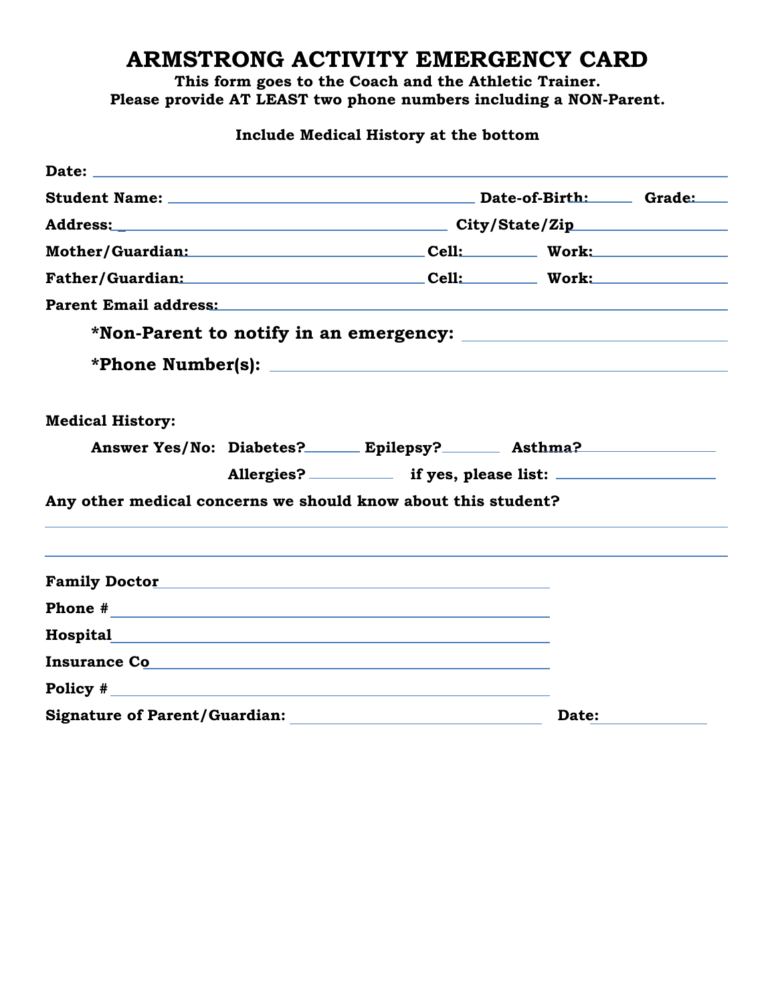# **ARMSTRONG ACTIVITY EMERGENCY CARD**

**This form goes to the Coach and the Athletic Trainer. Please provide AT LEAST two phone numbers including a NON-Parent.**

**Include Medical History at the bottom**

| Mother/Guardian: Cell: Work: Work:                                                                                                                                                                                                   |                                                                                  |       |  |  |
|--------------------------------------------------------------------------------------------------------------------------------------------------------------------------------------------------------------------------------------|----------------------------------------------------------------------------------|-------|--|--|
| Father/Guardian: Cell: Work: Work:                                                                                                                                                                                                   |                                                                                  |       |  |  |
| Parent Email address: No. 1996. The Contract of the Contract of the Contract of the Contract of the Contract of the Contract of the Contract of the Contract of the Contract of the Contract of the Contract of the Contract o       |                                                                                  |       |  |  |
|                                                                                                                                                                                                                                      |                                                                                  |       |  |  |
|                                                                                                                                                                                                                                      | *Phone Number(s): $\qquad \qquad$                                                |       |  |  |
|                                                                                                                                                                                                                                      |                                                                                  |       |  |  |
| <b>Medical History:</b>                                                                                                                                                                                                              |                                                                                  |       |  |  |
|                                                                                                                                                                                                                                      | Answer Yes/No: Diabetes? Epilepsy? Asthma?                                       |       |  |  |
|                                                                                                                                                                                                                                      | Allergies? ____________ if yes, please list: ___________________________________ |       |  |  |
| Any other medical concerns we should know about this student?                                                                                                                                                                        |                                                                                  |       |  |  |
|                                                                                                                                                                                                                                      |                                                                                  |       |  |  |
|                                                                                                                                                                                                                                      |                                                                                  |       |  |  |
| Family Doctor <u>and the contract of the contract of the contract of the contract of the contract of the contract of the contract of the contract of the contract of the contract of the contract of the contract of the contrac</u> |                                                                                  |       |  |  |
|                                                                                                                                                                                                                                      |                                                                                  |       |  |  |
| Hospital and the contract of the contract of the contract of the contract of the contract of the contract of the contract of the contract of the contract of the contract of the contract of the contract of the contract of t       |                                                                                  |       |  |  |
| Insurance Communication of the Communication of the Communication of the Communication of the Communication of the Communication of the Communication of the Communication of the Communication of the Communication of the Co       |                                                                                  |       |  |  |
| Policy #                                                                                                                                                                                                                             |                                                                                  |       |  |  |
| <b>Signature of Parent/Guardian:</b>                                                                                                                                                                                                 |                                                                                  | Date: |  |  |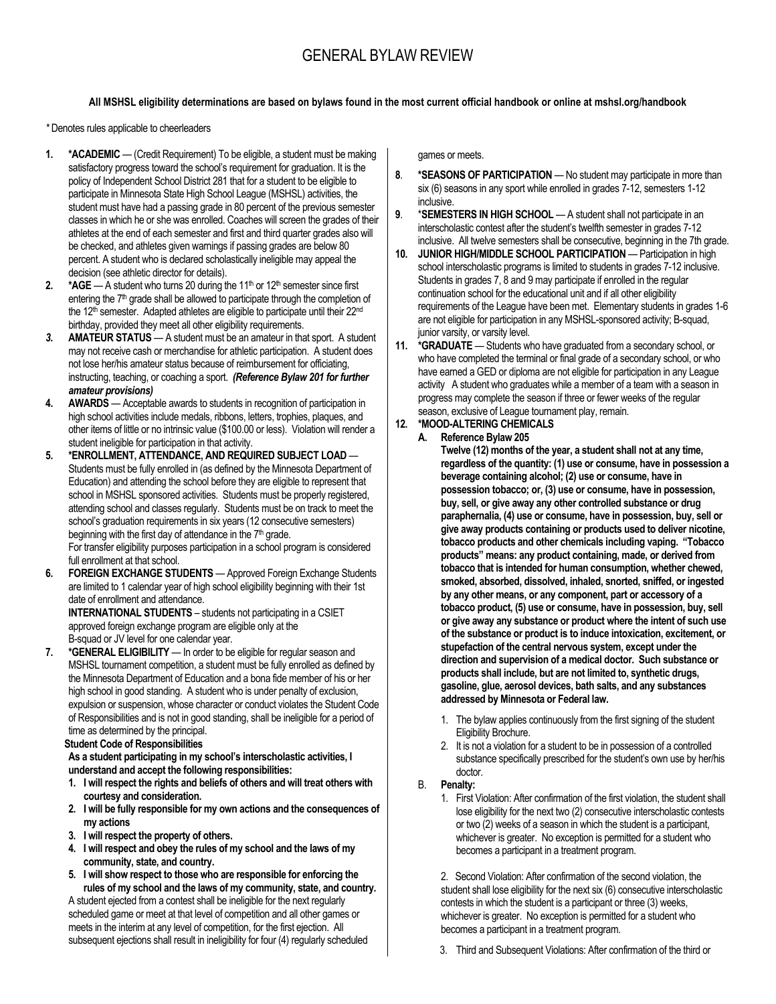# GENERAL BYLAW REVIEW

#### **All MSHSL eligibility determinations are based on bylaws found in the most current official handbook or online at mshsl.org/handbook**

*\** Denotes rules applicable to cheerleaders

- **1. \*ACADEMIC** (Credit Requirement) To be eligible, a student must be making satisfactory progress toward the school's requirement for graduation. It is the policy of Independent School District 281 that for a student to be eligible to participate in Minnesota State High School League (MSHSL) activities, the student must have had a passing grade in 80 percent of the previous semester classes in which he or she was enrolled. Coaches will screen the grades of their athletes at the end of each semester and first and third quarter grades also will be checked, and athletes given warnings if passing grades are below 80 percent. A student who is declared scholastically ineligible may appeal the decision (see athletic director for details).
- **2.**  $*AGE A student who turns 20 during the 11<sup>th</sup> or 12<sup>th</sup> semester since first$ entering the 7<sup>th</sup> grade shall be allowed to participate through the completion of the 12<sup>th</sup> semester. Adapted athletes are eligible to participate until their 22<sup>nd</sup> birthday, provided they meet all other eligibility requirements.
- *3.* **AMATEUR STATUS** A student must be an amateur in that sport. A student may not receive cash or merchandise for athletic participation. A student does not lose her/his amateur status because of reimbursement for officiating, instructing, teaching, or coaching a sport. *(Reference Bylaw 201 for further amateur provisions)*
- **4. AWARDS** Acceptable awards to students in recognition of participation in high school activities include medals, ribbons, letters, trophies, plaques, and other items of little or no intrinsic value (\$100.00 or less). Violation will render a student ineligible for participation in that activity.
- **5. \*ENROLLMENT, ATTENDANCE, AND REQUIRED SUBJECT LOAD** Students must be fully enrolled in (as defined by the Minnesota Department of Education) and attending the school before they are eligible to represent that school in MSHSL sponsored activities. Students must be properly registered, attending school and classes regularly. Students must be on track to meet the school's graduation requirements in six years (12 consecutive semesters) beginning with the first day of attendance in the  $7<sup>th</sup>$  grade.

For transfer eligibility purposes participation in a school program is considered full enrollment at that school.

**6. FOREIGN EXCHANGE STUDENTS** — Approved Foreign Exchange Students are limited to 1 calendar year of high school eligibility beginning with their 1st date of enrollment and attendance.

**INTERNATIONAL STUDENTS** – students not participating in a CSIET approved foreign exchange program are eligible only at the B-squad or JV level for one calendar year.

**7. \*GENERAL ELIGIBILITY** — In order to be eligible for regular season and MSHSL tournament competition, a student must be fully enrolled as defined by the Minnesota Department of Education and a bona fide member of his or her high school in good standing. A student who is under penalty of exclusion, expulsion or suspension, whose character or conduct violates the Student Code of Responsibilities and is not in good standing, shall be ineligible for a period of time as determined by the principal.

 **Student Code of Responsibilities**

**As a student participating in my school's interscholastic activities, I understand and accept the following responsibilities:**

- **1. I will respect the rights and beliefs of others and will treat others with courtesy and consideration.**
- **2. I will be fully responsible for my own actions and the consequences of my actions**
- **3. I will respect the property of others.**
- **4. I will respect and obey the rules of my school and the laws of my community, state, and country.**
- **5. I will show respect to those who are responsible for enforcing the rules of my school and the laws of my community, state, and country.**

A student ejected from a contest shall be ineligible for the next regularly scheduled game or meet at that level of competition and all other games or meets in the interim at any level of competition, for the first ejection. All subsequent ejections shall result in ineligibility for four (4) regularly scheduled games or meets.

- **8**. **\*SEASONS OF PARTICIPATION** No student may participate in more than six (6) seasons in any sport while enrolled in grades 7-12, semesters 1-12 inclusive.
- **9**. \***SEMESTERS IN HIGH SCHOOL** A student shall not participate in an interscholastic contest after the student's twelfth semester in grades 7-12 inclusive. All twelve semesters shall be consecutive, beginning in the 7th grade.
- **10. JUNIOR HIGH/MIDDLE SCHOOL PARTICIPATION** Participation in high school interscholastic programs is limited to students in grades 7-12 inclusive. Students in grades 7, 8 and 9 may participate if enrolled in the regular continuation school for the educational unit and if all other eligibility requirements of the League have been met. Elementary students in grades 1-6 are not eligible for participation in any MSHSL-sponsored activity; B-squad, junior varsity, or varsity level.
- **11. \*GRADUATE** Students who have graduated from a secondary school, or who have completed the terminal or final grade of a secondary school, or who have earned a GED or diploma are not eligible for participation in any League activity A student who graduates while a member of a team with a season in progress may complete the season if three or fewer weeks of the regular season, exclusive of League tournament play, remain.

## **12. \*MOOD-ALTERING CHEMICALS**

#### **A. Reference Bylaw 205**

**Twelve (12) months of the year, a student shall not at any time, regardless of the quantity: (1) use or consume, have in possession a beverage containing alcohol; (2) use or consume, have in possession tobacco; or, (3) use or consume, have in possession, buy, sell, or give away any other controlled substance or drug paraphernalia, (4) use or consume, have in possession, buy, sell or give away products containing or products used to deliver nicotine, tobacco products and other chemicals including vaping. "Tobacco products" means: any product containing, made, or derived from tobacco that is intended for human consumption, whether chewed, smoked, absorbed, dissolved, inhaled, snorted, sniffed, or ingested by any other means, or any component, part or accessory of a tobacco product, (5) use or consume, have in possession, buy, sell or give away any substance or product where the intent of such use of the substance or product is to induce intoxication, excitement, or stupefaction of the central nervous system, except under the direction and supervision of a medical doctor. Such substance or products shall include, but are not limited to, synthetic drugs, gasoline, glue, aerosol devices, bath salts, and any substances addressed by Minnesota or Federal law.**

- 1. The bylaw applies continuously from the first signing of the student Eligibility Brochure.
- 2. It is not a violation for a student to be in possession of a controlled substance specifically prescribed for the student's own use by her/his doctor.

#### B. **Penalty:**

1. First Violation: After confirmation of the first violation, the student shall lose eligibility for the next two (2) consecutive interscholastic contests or two (2) weeks of a season in which the student is a participant, whichever is greater. No exception is permitted for a student who becomes a participant in a treatment program.

2. Second Violation: After confirmation of the second violation, the student shall lose eligibility for the next six (6) consecutive interscholastic contests in which the student is a participant or three (3) weeks, whichever is greater. No exception is permitted for a student who becomes a participant in a treatment program.

3. Third and Subsequent Violations: After confirmation of the third or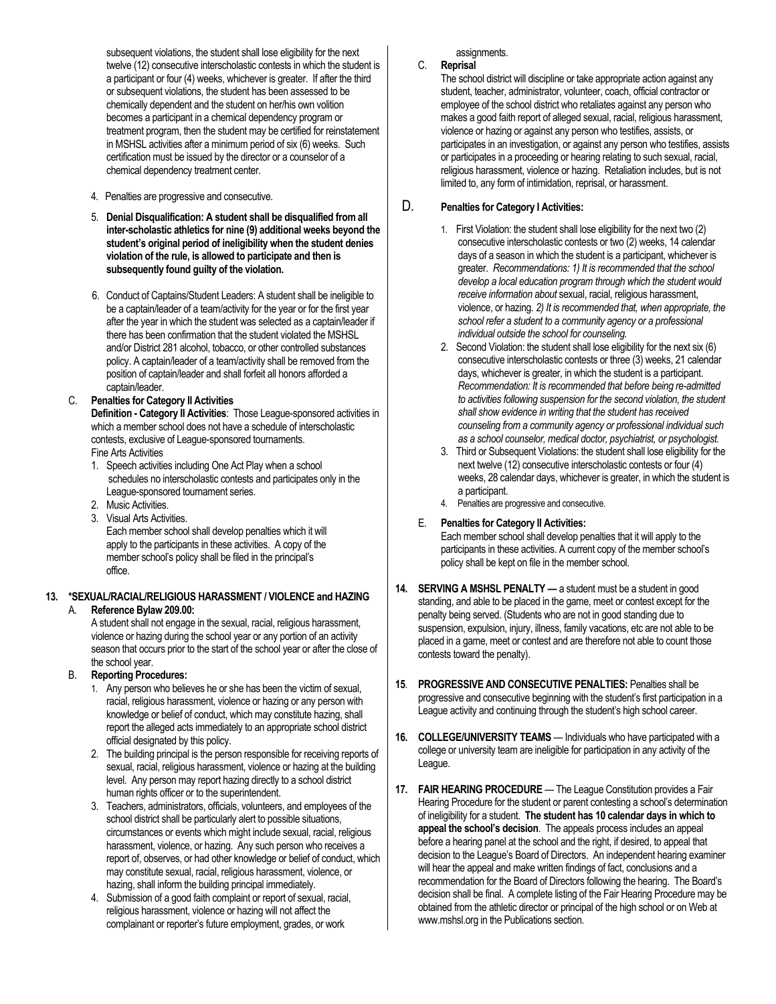subsequent violations, the student shall lose eligibility for the next twelve (12) consecutive interscholastic contests in which the student is a participant or four (4) weeks, whichever is greater. If after the third or subsequent violations, the student has been assessed to be chemically dependent and the student on her/his own volition becomes a participant in a chemical dependency program or treatment program, then the student may be certified for reinstatement in MSHSL activities after a minimum period of six (6) weeks. Such certification must be issued by the director or a counselor of a chemical dependency treatment center.

- 4. Penalties are progressive and consecutive.
- 5. **Denial Disqualification: A student shall be disqualified from all inter-scholastic athletics for nine (9) additional weeks beyond the student's original period of ineligibility when the student denies violation of the rule, is allowed to participate and then is subsequently found guilty of the violation.**
- 6. Conduct of Captains/Student Leaders: A student shall be ineligible to be a captain/leader of a team/activity for the year or for the first year after the year in which the student was selected as a captain/leader if there has been confirmation that the student violated the MSHSL and/or District 281 alcohol, tobacco, or other controlled substances policy. A captain/leader of a team/activity shall be removed from the position of captain/leader and shall forfeit all honors afforded a captain/leader.

#### C. **Penalties for Category II Activities**

**Definition - Category II Activities**: Those League-sponsored activities in which a member school does not have a schedule of interscholastic contests, exclusive of League-sponsored tournaments. Fine Arts Activities

- 1. Speech activities including One Act Play when a school schedules no interscholastic contests and participates only in the League-sponsored tournament series.
- 2. Music Activities.
- 3. Visual Arts Activities.

Each member school shall develop penalties which it will apply to the participants in these activities. A copy of the member school's policy shall be filed in the principal's office.

#### **13. \*SEXUAL/RACIAL/RELIGIOUS HARASSMENT / VIOLENCE and HAZING** A. **Reference Bylaw 209.00:**

A student shall not engage in the sexual, racial, religious harassment, violence or hazing during the school year or any portion of an activity season that occurs prior to the start of the school year or after the close of the school year.

### B. **Reporting Procedures:**

- 1. Any person who believes he or she has been the victim of sexual, racial, religious harassment, violence or hazing or any person with knowledge or belief of conduct, which may constitute hazing, shall report the alleged acts immediately to an appropriate school district official designated by this policy.
- 2. The building principal is the person responsible for receiving reports of sexual, racial, religious harassment, violence or hazing at the building level. Any person may report hazing directly to a school district human rights officer or to the superintendent.
- 3. Teachers, administrators, officials, volunteers, and employees of the school district shall be particularly alert to possible situations, circumstances or events which might include sexual, racial, religious harassment, violence, or hazing. Any such person who receives a report of, observes, or had other knowledge or belief of conduct, which may constitute sexual, racial, religious harassment, violence, or hazing, shall inform the building principal immediately.
- 4. Submission of a good faith complaint or report of sexual, racial, religious harassment, violence or hazing will not affect the complainant or reporter's future employment, grades, or work

assignments.

### C. **Reprisal**

The school district will discipline or take appropriate action against any student, teacher, administrator, volunteer, coach, official contractor or employee of the school district who retaliates against any person who makes a good faith report of alleged sexual, racial, religious harassment, violence or hazing or against any person who testifies, assists, or participates in an investigation, or against any person who testifies, assists or participates in a proceeding or hearing relating to such sexual, racial, religious harassment, violence or hazing. Retaliation includes, but is not limited to, any form of intimidation, reprisal, or harassment.

### D. **Penalties for Category I Activities:**

- 1. First Violation: the student shall lose eligibility for the next two (2) consecutive interscholastic contests or two (2) weeks, 14 calendar days of a season in which the student is a participant, whichever is greater. *Recommendations: 1) It is recommended that the school develop a local education program through which the student would receive information about* sexual, racial, religious harassment, violence, or hazing*. 2) It is recommended that, when appropriate, the school refer a student to a community agency or a professional individual outside the school for counseling.*
- 2. Second Violation: the student shall lose eligibility for the next six (6) consecutive interscholastic contests or three (3) weeks, 21 calendar days, whichever is greater, in which the student is a participant. *Recommendation: It is recommended that before being re-admitted to activities following suspension for the second violation, the student shall show evidence in writing that the student has received counseling from a community agency or professional individual such as a school counselor, medical doctor, psychiatrist, or psychologist.*
- 3. Third or Subsequent Violations: the student shall lose eligibility for the next twelve (12) consecutive interscholastic contests or four (4) weeks, 28 calendar days, whichever is greater, in which the student is a participant.
- 4. Penalties are progressive and consecutive.
- E. **Penalties for Category II Activities:**

Each member school shall develop penalties that it will apply to the participants in these activities. A current copy of the member school's policy shall be kept on file in the member school.

- **14. SERVING A MSHSL PENALTY —** a student must be a student in good standing, and able to be placed in the game, meet or contest except for the penalty being served. (Students who are not in good standing due to suspension, expulsion, injury, illness, family vacations, etc are not able to be placed in a game, meet or contest and are therefore not able to count those contests toward the penalty).
- **15**. **PROGRESSIVE AND CONSECUTIVE PENALTIES:** Penalties shall be progressive and consecutive beginning with the student's first participation in a League activity and continuing through the student's high school career.
- **16. COLLEGE/UNIVERSITY TEAMS** Individuals who have participated with a college or university team are ineligible for participation in any activity of the League.
- **17. FAIR HEARING PROCEDURE** The League Constitution provides a Fair Hearing Procedure for the student or parent contesting a school's determination of ineligibility for a student. **The student has 10 calendar days in which to appeal the school's decision**. The appeals process includes an appeal before a hearing panel at the school and the right, if desired, to appeal that decision to the League's Board of Directors. An independent hearing examiner will hear the appeal and make written findings of fact, conclusions and a recommendation for the Board of Directors following the hearing. The Board's decision shall be final. A complete listing of the Fair Hearing Procedure may be obtained from the athletic director or principal of the high school or on Web at www.mshsl.org in the Publications section.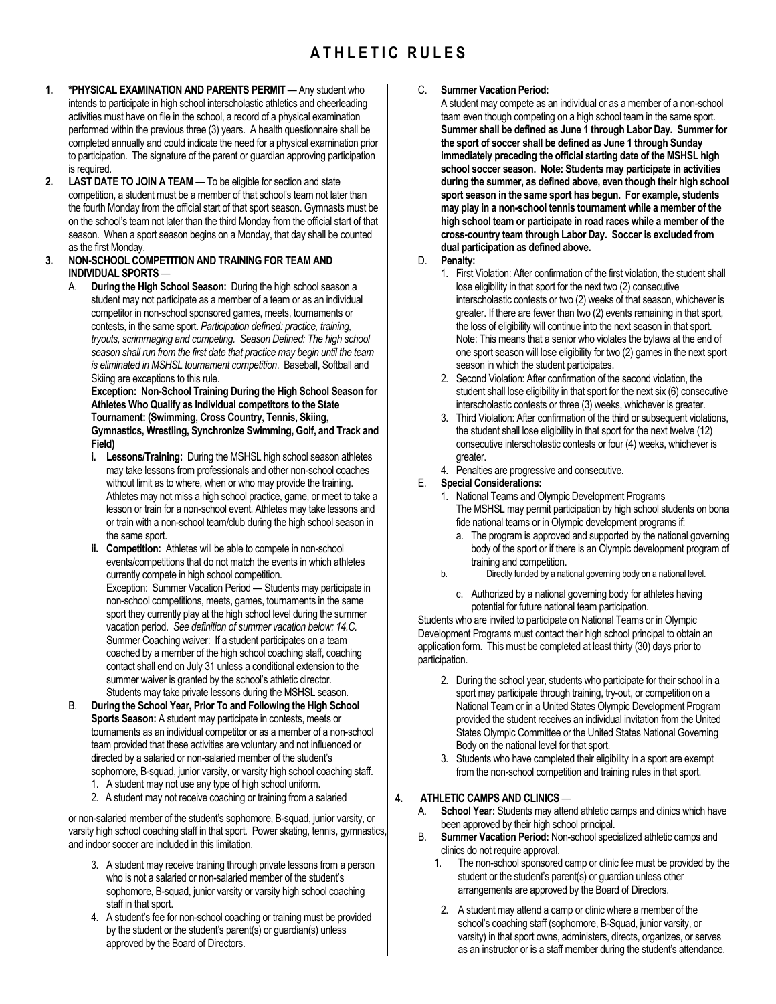# **A T H L E T I C R U L E S**

- **1. \*PHYSICAL EXAMINATION AND PARENTS PERMIT** Any student who intends to participate in high school interscholastic athletics and cheerleading activities must have on file in the school, a record of a physical examination performed within the previous three (3) years. A health questionnaire shall be completed annually and could indicate the need for a physical examination prior to participation. The signature of the parent or guardian approving participation is required.
- **2. LAST DATE TO JOIN A TEAM** To be eligible for section and state competition, a student must be a member of that school's team not later than the fourth Monday from the official start of that sport season. Gymnasts must be on the school's team not later than the third Monday from the official start of that season. When a sport season begins on a Monday, that day shall be counted as the first Monday.

#### **3. NON-SCHOOL COMPETITION AND TRAINING FOR TEAM AND INDIVIDUAL SPORTS** —

A. **During the High School Season:** During the high school season a student may not participate as a member of a team or as an individual competitor in non-school sponsored games, meets, tournaments or contests, in the same sport. *Participation defined: practice, training, tryouts, scrimmaging and competing. Season Defined: The high school season shall run from the first date that practice may begin until the team is eliminated in MSHSL tournament competition*. Baseball, Softball and Skiing are exceptions to this rule.

**Exception: Non-School Training During the High School Season for Athletes Who Qualify as Individual competitors to the State Tournament: (Swimming, Cross Country, Tennis, Skiing, Gymnastics, Wrestling, Synchronize Swimming, Golf, and Track and Field)**

- **i. Lessons/Training:** During the MSHSL high school season athletes may take lessons from professionals and other non-school coaches without limit as to where, when or who may provide the training. Athletes may not miss a high school practice, game, or meet to take a lesson or train for a non-school event. Athletes may take lessons and or train with a non-school team/club during the high school season in the same sport.
- **ii. Competition:** Athletes will be able to compete in non-school events/competitions that do not match the events in which athletes currently compete in high school competition. Exception: Summer Vacation Period — Students may participate in non-school competitions, meets, games, tournaments in the same sport they currently play at the high school level during the summer vacation period. *See definition of summer vacation below: 14.C.* Summer Coaching waiver: If a student participates on a team coached by a member of the high school coaching staff, coaching contact shall end on July 31 unless a conditional extension to the summer waiver is granted by the school's athletic director. Students may take private lessons during the MSHSL season.
- B. **During the School Year, Prior To and Following the High School Sports Season:** A student may participate in contests, meets or tournaments as an individual competitor or as a member of a non-school team provided that these activities are voluntary and not influenced or directed by a salaried or non-salaried member of the student's sophomore, B-squad, junior varsity, or varsity high school coaching staff.
	- 1. A student may not use any type of high school uniform.
	- 2. A student may not receive coaching or training from a salaried

or non-salaried member of the student's sophomore, B-squad, junior varsity, or varsity high school coaching staff in that sport. Power skating, tennis, gymnastics, and indoor soccer are included in this limitation.

- 3. A student may receive training through private lessons from a person who is not a salaried or non-salaried member of the student's sophomore, B-squad, junior varsity or varsity high school coaching staff in that sport.
- 4. A student's fee for non-school coaching or training must be provided by the student or the student's parent(s) or guardian(s) unless approved by the Board of Directors.

#### C. **Summer Vacation Period:**

A student may compete as an individual or as a member of a non-school team even though competing on a high school team in the same sport. **Summer shall be defined as June 1 through Labor Day. Summer for the sport of soccer shall be defined as June 1 through Sunday immediately preceding the official starting date of the MSHSL high school soccer season. Note: Students may participate in activities during the summer, as defined above, even though their high school sport season in the same sport has begun. For example, students may play in a non-school tennis tournament while a member of the high school team or participate in road races while a member of the cross-country team through Labor Day. Soccer is excluded from dual participation as defined above.**

- D. **Penalty:**
	- 1. First Violation: After confirmation of the first violation, the student shall lose eligibility in that sport for the next two (2) consecutive interscholastic contests or two (2) weeks of that season, whichever is greater. If there are fewer than two (2) events remaining in that sport, the loss of eligibility will continue into the next season in that sport. Note: This means that a senior who violates the bylaws at the end of one sport season will lose eligibility for two (2) games in the next sport season in which the student participates.
	- 2. Second Violation: After confirmation of the second violation, the student shall lose eligibility in that sport for the next six (6) consecutive interscholastic contests or three (3) weeks, whichever is greater.
	- 3. Third Violation: After confirmation of the third or subsequent violations, the student shall lose eligibility in that sport for the next twelve (12) consecutive interscholastic contests or four (4) weeks, whichever is greater.
	- 4. Penalties are progressive and consecutive.

#### E. **Special Considerations:**

- 1. National Teams and Olympic Development Programs The MSHSL may permit participation by high school students on bona fide national teams or in Olympic development programs if:
	- a. The program is approved and supported by the national governing body of the sport or if there is an Olympic development program of training and competition.
- b. Directly funded by a national governing body on a national level.
	- c. Authorized by a national governing body for athletes having potential for future national team participation.

Students who are invited to participate on National Teams or in Olympic Development Programs must contact their high school principal to obtain an application form. This must be completed at least thirty (30) days prior to participation.

- 2. During the school year, students who participate for their school in a sport may participate through training, try-out, or competition on a National Team or in a United States Olympic Development Program provided the student receives an individual invitation from the United States Olympic Committee or the United States National Governing Body on the national level for that sport.
- 3. Students who have completed their eligibility in a sport are exempt from the non-school competition and training rules in that sport.

#### **4. ATHLETIC CAMPS AND CLINICS** —

- A. **School Year:** Students may attend athletic camps and clinics which have been approved by their high school principal.
- B. **Summer Vacation Period:** Non-school specialized athletic camps and clinics do not require approval.
	- The non-school sponsored camp or clinic fee must be provided by the student or the student's parent(s) or guardian unless other arrangements are approved by the Board of Directors.
	- 2. A student may attend a camp or clinic where a member of the school's coaching staff (sophomore, B-Squad, junior varsity, or varsity) in that sport owns, administers, directs, organizes, or serves as an instructor or is a staff member during the student's attendance.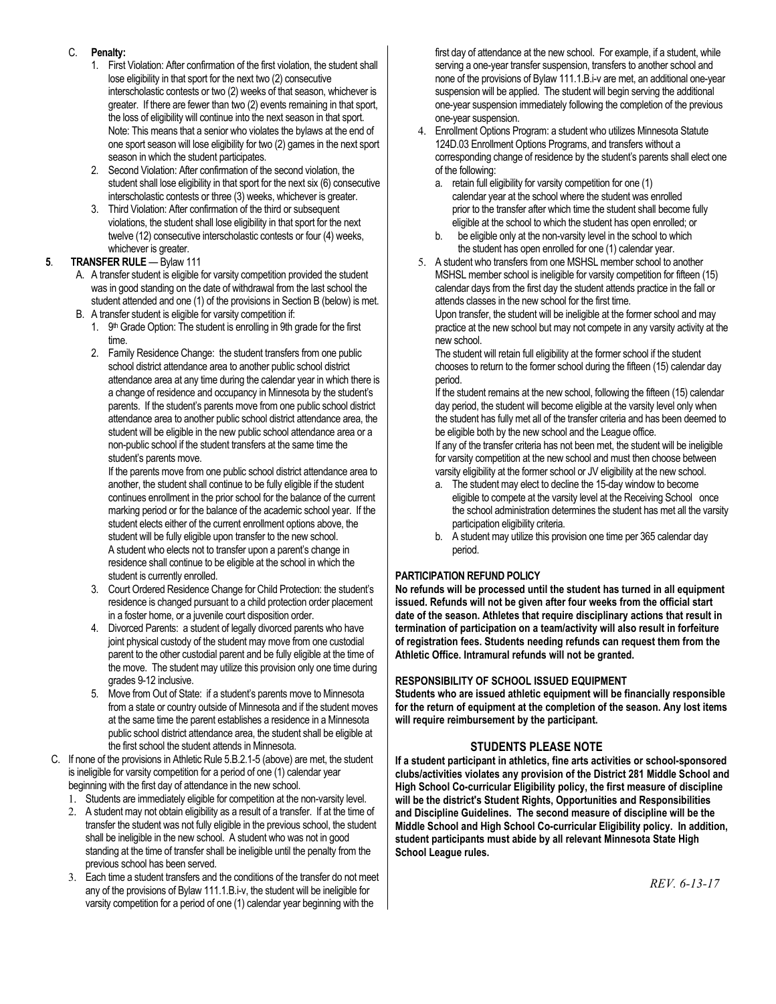### C. **Penalty:**

- 1. First Violation: After confirmation of the first violation, the student shall lose eligibility in that sport for the next two (2) consecutive interscholastic contests or two (2) weeks of that season, whichever is greater. If there are fewer than two (2) events remaining in that sport, the loss of eligibility will continue into the next season in that sport. Note: This means that a senior who violates the bylaws at the end of one sport season will lose eligibility for two (2) games in the next sport season in which the student participates.
- 2. Second Violation: After confirmation of the second violation, the student shall lose eligibility in that sport for the next six (6) consecutive interscholastic contests or three (3) weeks, whichever is greater.
- 3. Third Violation: After confirmation of the third or subsequent violations, the student shall lose eligibility in that sport for the next twelve (12) consecutive interscholastic contests or four (4) weeks, whichever is greater.

### **5**. **TRANSFER RULE** — Bylaw 111

- A. A transfer student is eligible for varsity competition provided the student was in good standing on the date of withdrawal from the last school the student attended and one (1) of the provisions in Section B (below) is met.
- B. A transfer student is eligible for varsity competition if:
	- 1. 9<sup>th</sup> Grade Option: The student is enrolling in 9th grade for the first time.
	- 2. Family Residence Change: the student transfers from one public school district attendance area to another public school district attendance area at any time during the calendar year in which there is a change of residence and occupancy in Minnesota by the student's parents. If the student's parents move from one public school district attendance area to another public school district attendance area, the student will be eligible in the new public school attendance area or a non-public school if the student transfers at the same time the student's parents move.

If the parents move from one public school district attendance area to another, the student shall continue to be fully eligible if the student continues enrollment in the prior school for the balance of the current marking period or for the balance of the academic school year. If the student elects either of the current enrollment options above, the student will be fully eligible upon transfer to the new school. A student who elects not to transfer upon a parent's change in residence shall continue to be eligible at the school in which the student is currently enrolled.

- 3. Court Ordered Residence Change for Child Protection: the student's residence is changed pursuant to a child protection order placement in a foster home, or a juvenile court disposition order.
- 4. Divorced Parents: a student of legally divorced parents who have joint physical custody of the student may move from one custodial parent to the other custodial parent and be fully eligible at the time of the move. The student may utilize this provision only one time during grades 9-12 inclusive.
- 5. Move from Out of State: if a student's parents move to Minnesota from a state or country outside of Minnesota and if the student moves at the same time the parent establishes a residence in a Minnesota public school district attendance area, the student shall be eligible at the first school the student attends in Minnesota.
- C. If none of the provisions in Athletic Rule 5.B.2.1-5 (above) are met, the student is ineligible for varsity competition for a period of one (1) calendar year beginning with the first day of attendance in the new school.
	- 1. Students are immediately eligible for competition at the non-varsity level.
	- 2. A student may not obtain eligibility as a result of a transfer. If at the time of transfer the student was not fully eligible in the previous school, the student shall be ineligible in the new school. A student who was not in good standing at the time of transfer shall be ineligible until the penalty from the previous school has been served.
	- 3. Each time a student transfers and the conditions of the transfer do not meet any of the provisions of Bylaw 111.1.B.i-v, the student will be ineligible for varsity competition for a period of one (1) calendar year beginning with the

first day of attendance at the new school. For example, if a student, while serving a one-year transfer suspension, transfers to another school and none of the provisions of Bylaw 111.1.B.i-v are met, an additional one-year suspension will be applied. The student will begin serving the additional one-year suspension immediately following the completion of the previous one-year suspension.

- 4. Enrollment Options Program: a student who utilizes Minnesota Statute 124D.03 Enrollment Options Programs, and transfers without a corresponding change of residence by the student's parents shall elect one of the following:
	- a. retain full eligibility for varsity competition for one (1) calendar year at the school where the student was enrolled prior to the transfer after which time the student shall become fully eligible at the school to which the student has open enrolled; or
	- b. be eligible only at the non-varsity level in the school to which the student has open enrolled for one (1) calendar year.
- 5. A student who transfers from one MSHSL member school to another MSHSL member school is ineligible for varsity competition for fifteen (15) calendar days from the first day the student attends practice in the fall or attends classes in the new school for the first time.

Upon transfer, the student will be ineligible at the former school and may practice at the new school but may not compete in any varsity activity at the new school.

The student will retain full eligibility at the former school if the student chooses to return to the former school during the fifteen (15) calendar day period.

If the student remains at the new school, following the fifteen (15) calendar day period, the student will become eligible at the varsity level only when the student has fully met all of the transfer criteria and has been deemed to be eligible both by the new school and the League office.

If any of the transfer criteria has not been met, the student will be ineligible for varsity competition at the new school and must then choose between varsity eligibility at the former school or JV eligibility at the new school.

- a. The student may elect to decline the 15-day window to become eligible to compete at the varsity level at the Receiving School once the school administration determines the student has met all the varsity participation eligibility criteria.
- b. A student may utilize this provision one time per 365 calendar day period.

### **PARTICIPATION REFUND POLICY**

**No refunds will be processed until the student has turned in all equipment issued. Refunds will not be given after four weeks from the official start date of the season. Athletes that require disciplinary actions that result in termination of participation on a team/activity will also result in forfeiture of registration fees. Students needing refunds can request them from the Athletic Office. Intramural refunds will not be granted.**

### **RESPONSIBILITY OF SCHOOL ISSUED EQUIPMENT**

**Students who are issued athletic equipment will be financially responsible for the return of equipment at the completion of the season. Any lost items will require reimbursement by the participant.**

### **STUDENTS PLEASE NOTE**

**If a student participant in athletics, fine arts activities or school-sponsored clubs/activities violates any provision of the District 281 Middle School and High School Co-curricular Eligibility policy, the first measure of discipline will be the district's Student Rights, Opportunities and Responsibilities and Discipline Guidelines. The second measure of discipline will be the Middle School and High School Co-curricular Eligibility policy. In addition, student participants must abide by all relevant Minnesota State High School League rules.**